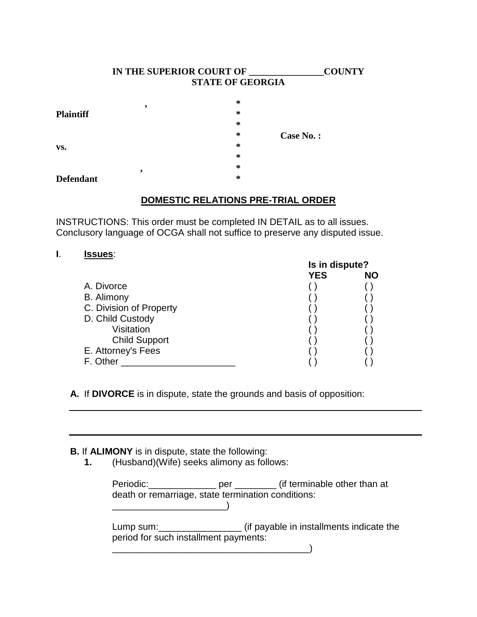## **IN THE SUPERIOR COURT OF \_\_\_\_\_\_\_\_\_\_\_\_\_\_\_\_COUNTY STATE OF GEORGIA**

|                  | , | ∗ |           |
|------------------|---|---|-----------|
| <b>Plaintiff</b> |   | ∗ |           |
|                  |   | ∗ |           |
|                  |   | ∗ | Case No.: |
| VS.              |   | ∗ |           |
|                  |   | ∗ |           |
|                  | , | ∗ |           |
| <b>Defendant</b> |   | ∗ |           |

# **DOMESTIC RELATIONS PRE-TRIAL ORDER**

INSTRUCTIONS: This order must be completed IN DETAIL as to all issues. Conclusory language of OCGA shall not suffice to preserve any disputed issue.

# **I**. **Issues**:

|                         | Is in dispute? |           |
|-------------------------|----------------|-----------|
|                         | <b>YES</b>     | <b>NO</b> |
| A. Divorce              |                |           |
| B. Alimony              |                |           |
| C. Division of Property |                |           |
| D. Child Custody        |                |           |
| Visitation              |                |           |
| <b>Child Support</b>    |                |           |
| E. Attorney's Fees      |                |           |
| F. Other                |                |           |

**A.** If **DIVORCE** is in dispute, state the grounds and basis of opposition:

\_\_\_\_\_\_\_\_\_\_\_\_\_\_\_\_\_\_\_\_\_\_\_\_\_\_\_\_\_\_\_\_\_\_\_\_\_\_)

# **B.** If **ALIMONY** is in dispute, state the following:

**1.** (Husband)(Wife) seeks alimony as follows:

|                                                    | Periodic: per (if terminable other than at |
|----------------------------------------------------|--------------------------------------------|
| death or remarriage, state termination conditions: |                                            |
|                                                    |                                            |
| period for such installment payments:              |                                            |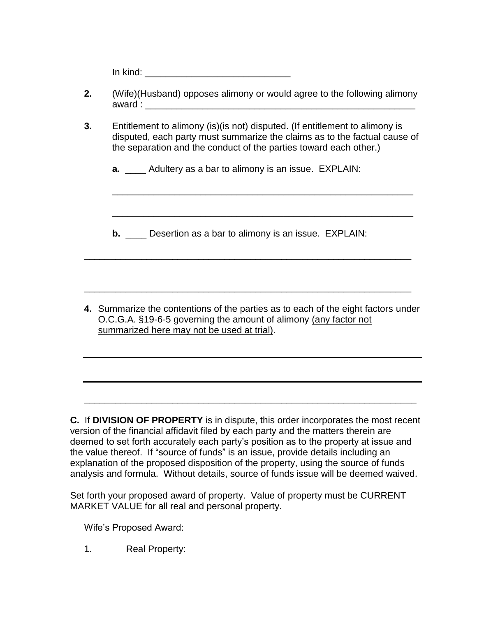In kind:

- **2.** (Wife)(Husband) opposes alimony or would agree to the following alimony  $a$ ward :
- **3.** Entitlement to alimony (is)(is not) disputed. (If entitlement to alimony is disputed, each party must summarize the claims as to the factual cause of the separation and the conduct of the parties toward each other.)

\_\_\_\_\_\_\_\_\_\_\_\_\_\_\_\_\_\_\_\_\_\_\_\_\_\_\_\_\_\_\_\_\_\_\_\_\_\_\_\_\_\_\_\_\_\_\_\_\_\_\_\_\_\_\_\_\_\_

\_\_\_\_\_\_\_\_\_\_\_\_\_\_\_\_\_\_\_\_\_\_\_\_\_\_\_\_\_\_\_\_\_\_\_\_\_\_\_\_\_\_\_\_\_\_\_\_\_\_\_\_\_\_\_\_\_\_

**a.** \_\_\_\_ Adultery as a bar to alimony is an issue. EXPLAIN:

**b.** Desertion as a bar to alimony is an issue. EXPLAIN:

\_\_\_\_\_\_\_\_\_\_\_\_\_\_\_\_\_\_\_\_\_\_\_\_\_\_\_\_\_\_\_\_\_\_\_\_\_\_\_\_\_\_\_\_\_\_\_\_\_\_\_\_\_\_\_\_\_\_\_\_\_\_\_

\_\_\_\_\_\_\_\_\_\_\_\_\_\_\_\_\_\_\_\_\_\_\_\_\_\_\_\_\_\_\_\_\_\_\_\_\_\_\_\_\_\_\_\_\_\_\_\_\_\_\_\_\_\_\_\_\_\_\_\_\_\_\_

**4.** Summarize the contentions of the parties as to each of the eight factors under O.C.G.A. §19-6-5 governing the amount of alimony (any factor not summarized here may not be used at trial).

**C.** If **DIVISION OF PROPERTY** is in dispute, this order incorporates the most recent version of the financial affidavit filed by each party and the matters therein are deemed to set forth accurately each party's position as to the property at issue and the value thereof. If "source of funds" is an issue, provide details including an explanation of the proposed disposition of the property, using the source of funds analysis and formula. Without details, source of funds issue will be deemed waived.

\_\_\_\_\_\_\_\_\_\_\_\_\_\_\_\_\_\_\_\_\_\_\_\_\_\_\_\_\_\_\_\_\_\_\_\_\_\_\_\_\_\_\_\_\_\_\_\_\_\_\_\_\_\_\_\_\_\_\_\_\_\_\_\_

Set forth your proposed award of property. Value of property must be CURRENT MARKET VALUE for all real and personal property.

Wife's Proposed Award:

1. Real Property: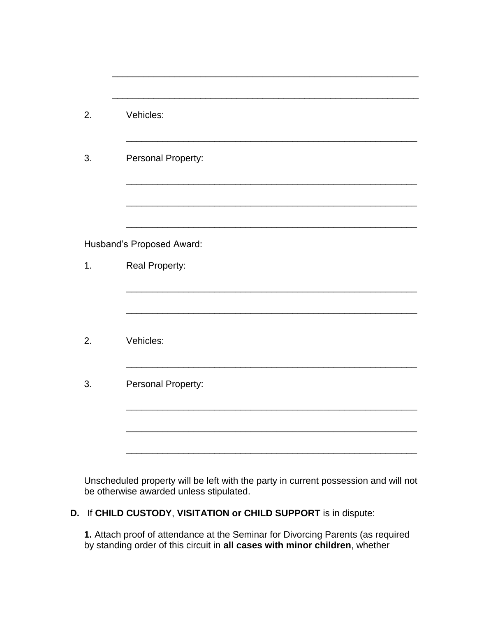| 2. | Vehicles:                 |
|----|---------------------------|
| 3. | Personal Property:        |
|    |                           |
|    | Husband's Proposed Award: |
| 1. | Real Property:            |
|    |                           |
| 2. | Vehicles:                 |
| 3. | Personal Property:        |
|    |                           |
|    |                           |
|    |                           |

\_\_\_\_\_\_\_\_\_\_\_\_\_\_\_\_\_\_\_\_\_\_\_\_\_\_\_\_\_\_\_\_\_\_\_\_\_\_\_\_\_\_\_\_\_\_\_\_\_\_\_\_\_\_\_\_\_\_\_

Unscheduled property will be left with the party in current possession and will not be otherwise awarded unless stipulated.

**D.** If **CHILD CUSTODY**, **VISITATION or CHILD SUPPORT** is in dispute:

**1.** Attach proof of attendance at the Seminar for Divorcing Parents (as required by standing order of this circuit in **all cases with minor children**, whether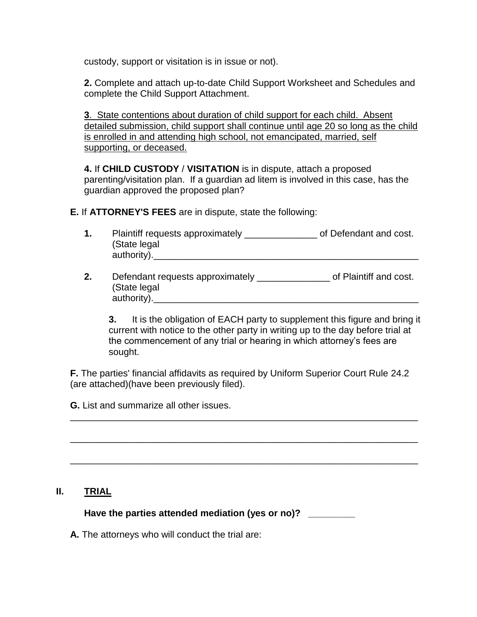custody, support or visitation is in issue or not).

**2.** Complete and attach up-to-date Child Support Worksheet and Schedules and complete the Child Support Attachment.

**3**. State contentions about duration of child support for each child. Absent detailed submission, child support shall continue until age 20 so long as the child is enrolled in and attending high school, not emancipated, married, self supporting, or deceased.

**4.** If **CHILD CUSTODY** / **VISITATION** is in dispute, attach a proposed parenting/visitation plan. If a guardian ad litem is involved in this case, has the guardian approved the proposed plan?

**E.** If **ATTORNEY'S FEES** are in dispute, state the following:

| Plaintiff requests approximately | of Defendant and cost. |
|----------------------------------|------------------------|
| (State legal                     |                        |
| authority).                      |                        |

**2.** Defendant requests approximately **2.** Of Plaintiff and cost. (State legal authority).

**3.** It is the obligation of EACH party to supplement this figure and bring it current with notice to the other party in writing up to the day before trial at the commencement of any trial or hearing in which attorney's fees are sought.

**F.** The parties' financial affidavits as required by Uniform Superior Court Rule 24.2 (are attached)(have been previously filed).

\_\_\_\_\_\_\_\_\_\_\_\_\_\_\_\_\_\_\_\_\_\_\_\_\_\_\_\_\_\_\_\_\_\_\_\_\_\_\_\_\_\_\_\_\_\_\_\_\_\_\_\_\_\_\_\_\_\_\_\_\_\_\_\_\_\_\_

\_\_\_\_\_\_\_\_\_\_\_\_\_\_\_\_\_\_\_\_\_\_\_\_\_\_\_\_\_\_\_\_\_\_\_\_\_\_\_\_\_\_\_\_\_\_\_\_\_\_\_\_\_\_\_\_\_\_\_\_\_\_\_\_\_\_\_

\_\_\_\_\_\_\_\_\_\_\_\_\_\_\_\_\_\_\_\_\_\_\_\_\_\_\_\_\_\_\_\_\_\_\_\_\_\_\_\_\_\_\_\_\_\_\_\_\_\_\_\_\_\_\_\_\_\_\_\_\_\_\_\_\_\_\_

**G.** List and summarize all other issues.

# **II. TRIAL**

**Have the parties attended mediation (yes or no)? \_\_\_\_\_\_\_\_\_**

**A.** The attorneys who will conduct the trial are: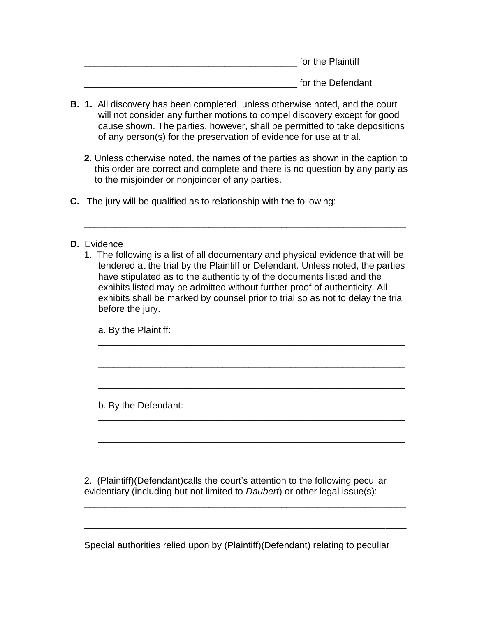| for the Plaintiff |  |
|-------------------|--|
|                   |  |

for the Defendant

- **B. 1.** All discovery has been completed, unless otherwise noted, and the court will not consider any further motions to compel discovery except for good cause shown. The parties, however, shall be permitted to take depositions of any person(s) for the preservation of evidence for use at trial.
	- **2.** Unless otherwise noted, the names of the parties as shown in the caption to this order are correct and complete and there is no question by any party as to the misjoinder or nonjoinder of any parties.

\_\_\_\_\_\_\_\_\_\_\_\_\_\_\_\_\_\_\_\_\_\_\_\_\_\_\_\_\_\_\_\_\_\_\_\_\_\_\_\_\_\_\_\_\_\_\_\_\_\_\_\_\_\_\_\_\_\_\_\_\_\_

- **C.** The jury will be qualified as to relationship with the following:
- **D.** Evidence
	- 1. The following is a list of all documentary and physical evidence that will be tendered at the trial by the Plaintiff or Defendant. Unless noted, the parties have stipulated as to the authenticity of the documents listed and the exhibits listed may be admitted without further proof of authenticity. All exhibits shall be marked by counsel prior to trial so as not to delay the trial before the jury.

\_\_\_\_\_\_\_\_\_\_\_\_\_\_\_\_\_\_\_\_\_\_\_\_\_\_\_\_\_\_\_\_\_\_\_\_\_\_\_\_\_\_\_\_\_\_\_\_\_\_\_\_\_\_\_\_\_\_\_

\_\_\_\_\_\_\_\_\_\_\_\_\_\_\_\_\_\_\_\_\_\_\_\_\_\_\_\_\_\_\_\_\_\_\_\_\_\_\_\_\_\_\_\_\_\_\_\_\_\_\_\_\_\_\_\_\_\_\_

\_\_\_\_\_\_\_\_\_\_\_\_\_\_\_\_\_\_\_\_\_\_\_\_\_\_\_\_\_\_\_\_\_\_\_\_\_\_\_\_\_\_\_\_\_\_\_\_\_\_\_\_\_\_\_\_\_\_\_

\_\_\_\_\_\_\_\_\_\_\_\_\_\_\_\_\_\_\_\_\_\_\_\_\_\_\_\_\_\_\_\_\_\_\_\_\_\_\_\_\_\_\_\_\_\_\_\_\_\_\_\_\_\_\_\_\_\_\_

\_\_\_\_\_\_\_\_\_\_\_\_\_\_\_\_\_\_\_\_\_\_\_\_\_\_\_\_\_\_\_\_\_\_\_\_\_\_\_\_\_\_\_\_\_\_\_\_\_\_\_\_\_\_\_\_\_\_\_

a. By the Plaintiff:

b. By the Defendant: \_\_\_\_\_\_\_\_\_\_\_\_\_\_\_\_\_\_\_\_\_\_\_\_\_\_\_\_\_\_\_\_\_\_\_\_\_\_\_\_\_\_\_\_\_\_\_\_\_\_\_\_\_\_\_\_\_\_\_

2. (Plaintiff)(Defendant)calls the court's attention to the following peculiar evidentiary (including but not limited to *Daubert*) or other legal issue(s): \_\_\_\_\_\_\_\_\_\_\_\_\_\_\_\_\_\_\_\_\_\_\_\_\_\_\_\_\_\_\_\_\_\_\_\_\_\_\_\_\_\_\_\_\_\_\_\_\_\_\_\_\_\_\_\_\_\_\_\_\_\_

Special authorities relied upon by (Plaintiff)(Defendant) relating to peculiar

\_\_\_\_\_\_\_\_\_\_\_\_\_\_\_\_\_\_\_\_\_\_\_\_\_\_\_\_\_\_\_\_\_\_\_\_\_\_\_\_\_\_\_\_\_\_\_\_\_\_\_\_\_\_\_\_\_\_\_\_\_\_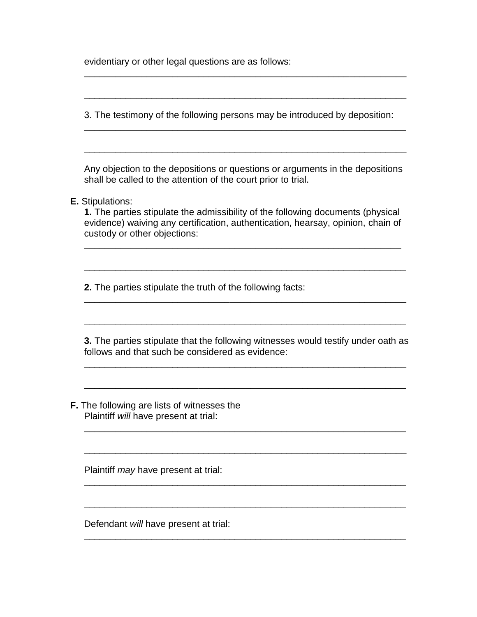evidentiary or other legal questions are as follows:

3. The testimony of the following persons may be introduced by deposition:

\_\_\_\_\_\_\_\_\_\_\_\_\_\_\_\_\_\_\_\_\_\_\_\_\_\_\_\_\_\_\_\_\_\_\_\_\_\_\_\_\_\_\_\_\_\_\_\_\_\_\_\_\_\_\_\_\_\_\_\_\_\_

\_\_\_\_\_\_\_\_\_\_\_\_\_\_\_\_\_\_\_\_\_\_\_\_\_\_\_\_\_\_\_\_\_\_\_\_\_\_\_\_\_\_\_\_\_\_\_\_\_\_\_\_\_\_\_\_\_\_\_\_\_\_

\_\_\_\_\_\_\_\_\_\_\_\_\_\_\_\_\_\_\_\_\_\_\_\_\_\_\_\_\_\_\_\_\_\_\_\_\_\_\_\_\_\_\_\_\_\_\_\_\_\_\_\_\_\_\_\_\_\_\_\_\_\_

\_\_\_\_\_\_\_\_\_\_\_\_\_\_\_\_\_\_\_\_\_\_\_\_\_\_\_\_\_\_\_\_\_\_\_\_\_\_\_\_\_\_\_\_\_\_\_\_\_\_\_\_\_\_\_\_\_\_\_\_\_\_

Any objection to the depositions or questions or arguments in the depositions shall be called to the attention of the court prior to trial.

\_\_\_\_\_\_\_\_\_\_\_\_\_\_\_\_\_\_\_\_\_\_\_\_\_\_\_\_\_\_\_\_\_\_\_\_\_\_\_\_\_\_\_\_\_\_\_\_\_\_\_\_\_\_\_\_\_\_\_\_\_\_

**E.** Stipulations:

**1.** The parties stipulate the admissibility of the following documents (physical evidence) waiving any certification, authentication, hearsay, opinion, chain of custody or other objections:

\_\_\_\_\_\_\_\_\_\_\_\_\_\_\_\_\_\_\_\_\_\_\_\_\_\_\_\_\_\_\_\_\_\_\_\_\_\_\_\_\_\_\_\_\_\_\_\_\_\_\_\_\_\_\_\_\_\_\_\_\_

\_\_\_\_\_\_\_\_\_\_\_\_\_\_\_\_\_\_\_\_\_\_\_\_\_\_\_\_\_\_\_\_\_\_\_\_\_\_\_\_\_\_\_\_\_\_\_\_\_\_\_\_\_\_\_\_\_\_\_\_\_\_

**2.** The parties stipulate the truth of the following facts:

**3.** The parties stipulate that the following witnesses would testify under oath as follows and that such be considered as evidence:

\_\_\_\_\_\_\_\_\_\_\_\_\_\_\_\_\_\_\_\_\_\_\_\_\_\_\_\_\_\_\_\_\_\_\_\_\_\_\_\_\_\_\_\_\_\_\_\_\_\_\_\_\_\_\_\_\_\_\_\_\_\_

\_\_\_\_\_\_\_\_\_\_\_\_\_\_\_\_\_\_\_\_\_\_\_\_\_\_\_\_\_\_\_\_\_\_\_\_\_\_\_\_\_\_\_\_\_\_\_\_\_\_\_\_\_\_\_\_\_\_\_\_\_\_

\_\_\_\_\_\_\_\_\_\_\_\_\_\_\_\_\_\_\_\_\_\_\_\_\_\_\_\_\_\_\_\_\_\_\_\_\_\_\_\_\_\_\_\_\_\_\_\_\_\_\_\_\_\_\_\_\_\_\_\_\_\_

\_\_\_\_\_\_\_\_\_\_\_\_\_\_\_\_\_\_\_\_\_\_\_\_\_\_\_\_\_\_\_\_\_\_\_\_\_\_\_\_\_\_\_\_\_\_\_\_\_\_\_\_\_\_\_\_\_\_\_\_\_\_

\_\_\_\_\_\_\_\_\_\_\_\_\_\_\_\_\_\_\_\_\_\_\_\_\_\_\_\_\_\_\_\_\_\_\_\_\_\_\_\_\_\_\_\_\_\_\_\_\_\_\_\_\_\_\_\_\_\_\_\_\_\_

\_\_\_\_\_\_\_\_\_\_\_\_\_\_\_\_\_\_\_\_\_\_\_\_\_\_\_\_\_\_\_\_\_\_\_\_\_\_\_\_\_\_\_\_\_\_\_\_\_\_\_\_\_\_\_\_\_\_\_\_\_\_

\_\_\_\_\_\_\_\_\_\_\_\_\_\_\_\_\_\_\_\_\_\_\_\_\_\_\_\_\_\_\_\_\_\_\_\_\_\_\_\_\_\_\_\_\_\_\_\_\_\_\_\_\_\_\_\_\_\_\_\_\_\_

\_\_\_\_\_\_\_\_\_\_\_\_\_\_\_\_\_\_\_\_\_\_\_\_\_\_\_\_\_\_\_\_\_\_\_\_\_\_\_\_\_\_\_\_\_\_\_\_\_\_\_\_\_\_\_\_\_\_\_\_\_\_

**F.** The following are lists of witnesses the Plaintiff *will* have present at trial:

Plaintiff *may* have present at trial:

Defendant *will* have present at trial: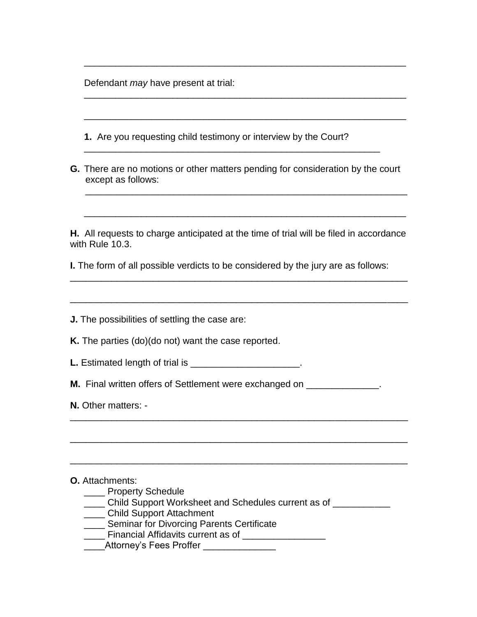Defendant *may* have present at trial:

| 1. Are you requesting child testimony or interview by the Court?                                                                                                                                                                                                                                                            |
|-----------------------------------------------------------------------------------------------------------------------------------------------------------------------------------------------------------------------------------------------------------------------------------------------------------------------------|
| G. There are no motions or other matters pending for consideration by the court<br>except as follows:                                                                                                                                                                                                                       |
| H. All requests to charge anticipated at the time of trial will be filed in accordance<br>with Rule 10.3.                                                                                                                                                                                                                   |
| <b>I.</b> The form of all possible verdicts to be considered by the jury are as follows:                                                                                                                                                                                                                                    |
|                                                                                                                                                                                                                                                                                                                             |
| <b>J.</b> The possibilities of settling the case are:                                                                                                                                                                                                                                                                       |
| <b>K.</b> The parties (do)(do not) want the case reported.                                                                                                                                                                                                                                                                  |
|                                                                                                                                                                                                                                                                                                                             |
| <b>M.</b> Final written offers of Settlement were exchanged on __________                                                                                                                                                                                                                                                   |
| N. Other matters: -                                                                                                                                                                                                                                                                                                         |
|                                                                                                                                                                                                                                                                                                                             |
| <b>O.</b> Attachments:<br><b>Property Schedule</b><br>__ Child Support Worksheet and Schedules current as of ______<br>__ Child Support Attachment<br>_ Seminar for Divorcing Parents Certificate<br>Financial Affidavits current as of <b>Financial Affidavits</b> current as of<br>Attorney's Fees Proffer ______________ |

\_\_\_\_\_\_\_\_\_\_\_\_\_\_\_\_\_\_\_\_\_\_\_\_\_\_\_\_\_\_\_\_\_\_\_\_\_\_\_\_\_\_\_\_\_\_\_\_\_\_\_\_\_\_\_\_\_\_\_\_\_\_

\_\_\_\_\_\_\_\_\_\_\_\_\_\_\_\_\_\_\_\_\_\_\_\_\_\_\_\_\_\_\_\_\_\_\_\_\_\_\_\_\_\_\_\_\_\_\_\_\_\_\_\_\_\_\_\_\_\_\_\_\_\_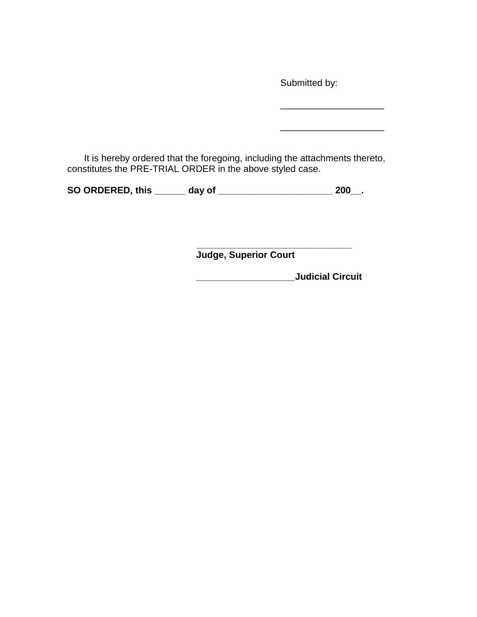Submitted by:

\_\_\_\_\_\_\_\_\_\_\_\_\_\_\_\_\_\_\_\_

 $\overline{\phantom{a}}$  , and the set of the set of the set of the set of the set of the set of the set of the set of the set of the set of the set of the set of the set of the set of the set of the set of the set of the set of the s

It is hereby ordered that the foregoing, including the attachments thereto, constitutes the PRE-TRIAL ORDER in the above styled case.

**SO ORDERED, this \_\_\_\_\_\_ day of \_\_\_\_\_\_\_\_\_\_\_\_\_\_\_\_\_\_\_\_\_\_ 200\_\_.**

**\_\_\_\_\_\_\_\_\_\_\_\_\_\_\_\_\_\_\_\_\_\_\_\_\_\_\_\_\_\_ Judge, Superior Court**

**\_\_\_\_\_\_\_\_\_\_\_\_\_\_\_\_\_\_\_Judicial Circuit**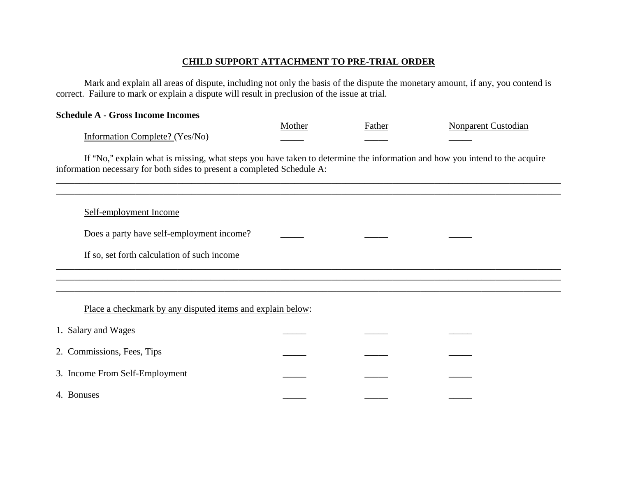## **CHILD SUPPORT ATTACHMENT TO PRE-TRIAL ORDER**

Mark and explain all areas of dispute, including not only the basis of the dispute the monetary amount, if any, you contend is correct. Failure to mark or explain a dispute will result in preclusion of the issue at trial.

| <b>Schedule A - Gross Income Incomes</b> |        |        |                     |
|------------------------------------------|--------|--------|---------------------|
|                                          | Mother | Father | Nonparent Custodian |
| Information Complete? (Yes/No)           |        |        |                     |

If "No," explain what is missing, what steps you have taken to determine the information and how you intend to the acquire information necessary for both sides to present a completed Schedule A:

\_\_\_\_\_\_\_\_\_\_\_\_\_\_\_\_\_\_\_\_\_\_\_\_\_\_\_\_\_\_\_\_\_\_\_\_\_\_\_\_\_\_\_\_\_\_\_\_\_\_\_\_\_\_\_\_\_\_\_\_\_\_\_\_\_\_\_\_\_\_\_\_\_\_\_\_\_\_\_\_\_\_\_\_\_\_\_\_\_\_\_\_\_\_\_\_\_\_\_\_\_\_\_\_\_\_\_\_ \_\_\_\_\_\_\_\_\_\_\_\_\_\_\_\_\_\_\_\_\_\_\_\_\_\_\_\_\_\_\_\_\_\_\_\_\_\_\_\_\_\_\_\_\_\_\_\_\_\_\_\_\_\_\_\_\_\_\_\_\_\_\_\_\_\_\_\_\_\_\_\_\_\_\_\_\_\_\_\_\_\_\_\_\_\_\_\_\_\_\_\_\_\_\_\_\_\_\_\_\_\_\_\_\_\_\_\_ \_\_\_\_\_\_\_\_\_\_\_\_\_\_\_\_\_\_\_\_\_\_\_\_\_\_\_\_\_\_\_\_\_\_\_\_\_\_\_\_\_\_\_\_\_\_\_\_\_\_\_\_\_\_\_\_\_\_\_\_\_\_\_\_\_\_\_\_\_\_\_\_\_\_\_\_\_\_\_\_\_\_\_\_\_\_\_\_\_\_\_\_\_\_\_\_\_\_\_\_\_\_\_\_\_\_\_\_

#### Self-employment Income

Does a party have self-employment income?

If so, set forth calculation of such income

# Place a checkmark by any disputed items and explain below:

| 1. Salary and Wages            |  |  |
|--------------------------------|--|--|
| 2. Commissions, Fees, Tips     |  |  |
| 3. Income From Self-Employment |  |  |
| 4. Bonuses                     |  |  |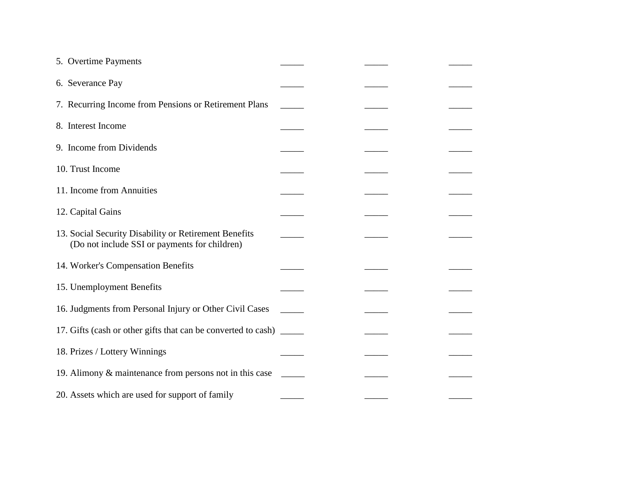| 5. Overtime Payments                                                                                   |  |  |
|--------------------------------------------------------------------------------------------------------|--|--|
| 6. Severance Pay                                                                                       |  |  |
| 7. Recurring Income from Pensions or Retirement Plans                                                  |  |  |
| 8. Interest Income                                                                                     |  |  |
| 9. Income from Dividends                                                                               |  |  |
| 10. Trust Income                                                                                       |  |  |
| 11. Income from Annuities                                                                              |  |  |
| 12. Capital Gains                                                                                      |  |  |
| 13. Social Security Disability or Retirement Benefits<br>(Do not include SSI or payments for children) |  |  |
| 14. Worker's Compensation Benefits                                                                     |  |  |
| 15. Unemployment Benefits                                                                              |  |  |
| 16. Judgments from Personal Injury or Other Civil Cases                                                |  |  |
| 17. Gifts (cash or other gifts that can be converted to cash)                                          |  |  |
| 18. Prizes / Lottery Winnings                                                                          |  |  |
| 19. Alimony & maintenance from persons not in this case                                                |  |  |
| 20. Assets which are used for support of family                                                        |  |  |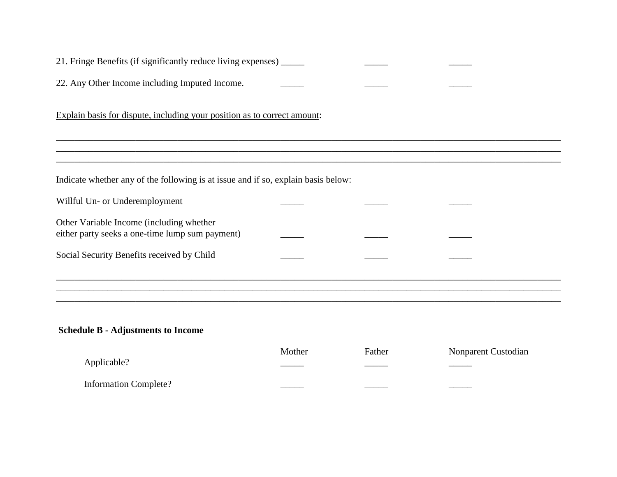| 21. Fringe Benefits (if significantly reduce living expenses) ______                        |  |  |
|---------------------------------------------------------------------------------------------|--|--|
| 22. Any Other Income including Imputed Income.                                              |  |  |
| Explain basis for dispute, including your position as to correct amount:                    |  |  |
|                                                                                             |  |  |
| Indicate whether any of the following is at issue and if so, explain basis below:           |  |  |
| Willful Un- or Underemployment                                                              |  |  |
| Other Variable Income (including whether<br>either party seeks a one-time lump sum payment) |  |  |
| Social Security Benefits received by Child                                                  |  |  |
|                                                                                             |  |  |
|                                                                                             |  |  |

# **Schedule B - Adjustments to Income**

|                       | Mother   | Father    | Nonparent Custodian |
|-----------------------|----------|-----------|---------------------|
| Applicable?           | ________ | _________ | ____                |
| Information Complete? |          |           |                     |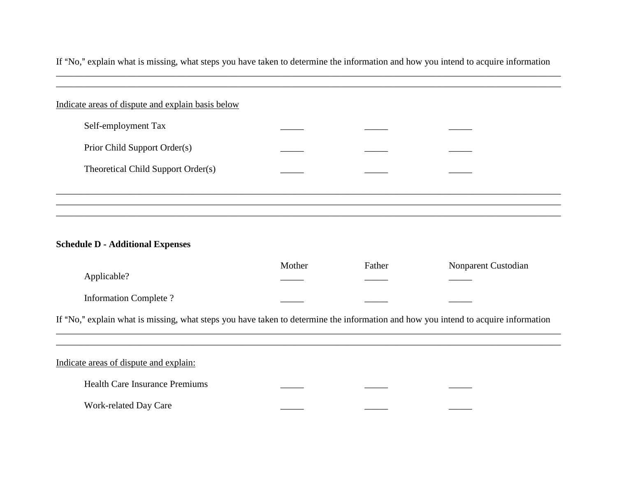If "No," explain what is missing, what steps you have taken to determine the information and how you intend to acquire information \_\_\_\_\_\_\_\_\_\_\_\_\_\_\_\_\_\_\_\_\_\_\_\_\_\_\_\_\_\_\_\_\_\_\_\_\_\_\_\_\_\_\_\_\_\_\_\_\_\_\_\_\_\_\_\_\_\_\_\_\_\_\_\_\_\_\_\_\_\_\_\_\_\_\_\_\_\_\_\_\_\_\_\_\_\_\_\_\_\_\_\_\_\_\_\_\_\_\_\_\_\_\_\_\_\_\_\_

| Self-employment Tax                |  |  |
|------------------------------------|--|--|
| Prior Child Support Order(s)       |  |  |
| Theoretical Child Support Order(s) |  |  |

## **Schedule D - Additional Expenses**

|                                                                                                                                    | Mother | Father | Nonparent Custodian |  |  |
|------------------------------------------------------------------------------------------------------------------------------------|--------|--------|---------------------|--|--|
| Applicable?                                                                                                                        |        |        |                     |  |  |
| Information Complete?                                                                                                              |        |        |                     |  |  |
| If "No," explain what is missing, what steps you have taken to determine the information and how you intend to acquire information |        |        |                     |  |  |
|                                                                                                                                    |        |        |                     |  |  |
| Indicate areas of dispute and explain:                                                                                             |        |        |                     |  |  |

Health Care Insurance Premiums Work-related Day Care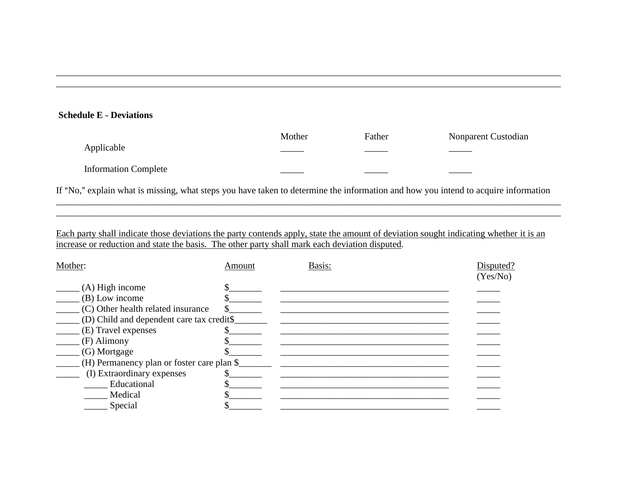### **Schedule E - Deviations**

|                             | Mother | Father | Nonparent Custodian |
|-----------------------------|--------|--------|---------------------|
| Applicable                  |        |        |                     |
| <b>Information Complete</b> |        |        |                     |

\_\_\_\_\_\_\_\_\_\_\_\_\_\_\_\_\_\_\_\_\_\_\_\_\_\_\_\_\_\_\_\_\_\_\_\_\_\_\_\_\_\_\_\_\_\_\_\_\_\_\_\_\_\_\_\_\_\_\_\_\_\_\_\_\_\_\_\_\_\_\_\_\_\_\_\_\_\_\_\_\_\_\_\_\_\_\_\_\_\_\_\_\_\_\_\_\_\_\_\_\_\_\_\_\_\_\_\_ \_\_\_\_\_\_\_\_\_\_\_\_\_\_\_\_\_\_\_\_\_\_\_\_\_\_\_\_\_\_\_\_\_\_\_\_\_\_\_\_\_\_\_\_\_\_\_\_\_\_\_\_\_\_\_\_\_\_\_\_\_\_\_\_\_\_\_\_\_\_\_\_\_\_\_\_\_\_\_\_\_\_\_\_\_\_\_\_\_\_\_\_\_\_\_\_\_\_\_\_\_\_\_\_\_\_\_\_

If "No," explain what is missing, what steps you have taken to determine the information and how you intend to acquire information \_\_\_\_\_\_\_\_\_\_\_\_\_\_\_\_\_\_\_\_\_\_\_\_\_\_\_\_\_\_\_\_\_\_\_\_\_\_\_\_\_\_\_\_\_\_\_\_\_\_\_\_\_\_\_\_\_\_\_\_\_\_\_\_\_\_\_\_\_\_\_\_\_\_\_\_\_\_\_\_\_\_\_\_\_\_\_\_\_\_\_\_\_\_\_\_\_\_\_\_\_\_\_\_\_\_\_\_

\_\_\_\_\_\_\_\_\_\_\_\_\_\_\_\_\_\_\_\_\_\_\_\_\_\_\_\_\_\_\_\_\_\_\_\_\_\_\_\_\_\_\_\_\_\_\_\_\_\_\_\_\_\_\_\_\_\_\_\_\_\_\_\_\_\_\_\_\_\_\_\_\_\_\_\_\_\_\_\_\_\_\_\_\_\_\_\_\_\_\_\_\_\_\_\_\_\_\_\_\_\_\_\_\_\_\_\_

Each party shall indicate those deviations the party contends apply, state the amount of deviation sought indicating whether it is an increase or reduction and state the basis. The other party shall mark each deviation disputed.

| Mother:                                    | Amount | Basis: | Disputed?<br>(Yes/No) |
|--------------------------------------------|--------|--------|-----------------------|
| $(A)$ High income                          |        |        |                       |
| $(B)$ Low income                           |        |        |                       |
| (C) Other health related insurance         |        |        |                       |
| (D) Child and dependent care tax credit\$  |        |        |                       |
| (E) Travel expenses                        |        |        |                       |
| (F) Alimony                                |        |        |                       |
| (G) Mortgage                               |        |        |                       |
| (H) Permanency plan or foster care plan \$ |        |        |                       |
| (I) Extraordinary expenses                 |        |        |                       |
| Educational                                |        |        |                       |
| Medical                                    |        |        |                       |
| Special                                    |        |        |                       |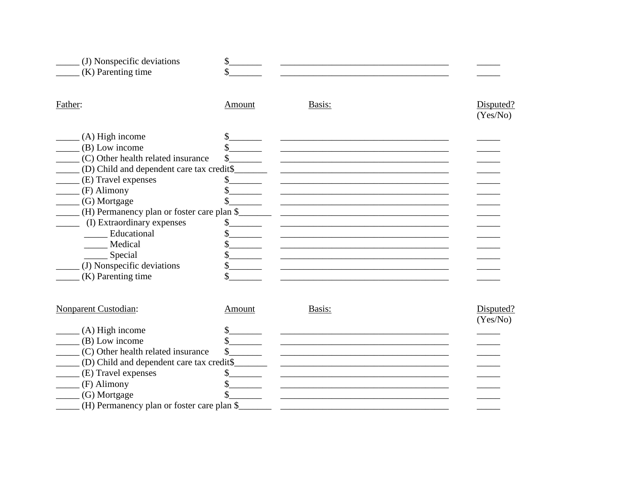| \$     |                                                                                         |                       |
|--------|-----------------------------------------------------------------------------------------|-----------------------|
| Amount | Basis:                                                                                  | Disputed?<br>(Yes/No) |
|        |                                                                                         |                       |
|        |                                                                                         |                       |
|        |                                                                                         |                       |
|        |                                                                                         |                       |
|        |                                                                                         |                       |
|        |                                                                                         |                       |
|        |                                                                                         |                       |
|        |                                                                                         |                       |
|        |                                                                                         |                       |
|        |                                                                                         |                       |
|        |                                                                                         |                       |
|        |                                                                                         |                       |
|        |                                                                                         |                       |
|        |                                                                                         |                       |
|        | (D) Child and dependent care tax credit\$<br>(H) Permanency plan or foster care plan \$ |                       |

| Nonparent Custodian:                       | Amount | Basis: | Disputed? |
|--------------------------------------------|--------|--------|-----------|
|                                            |        |        | (Yes/No)  |
| $(A)$ High income                          |        |        |           |
| $(B)$ Low income                           |        |        |           |
| (C) Other health related insurance         |        |        |           |
| (D) Child and dependent care tax credit\$  |        |        |           |
| (E) Travel expenses                        |        |        |           |
| (F) Alimony                                |        |        |           |
| (G) Mortgage                               |        |        |           |
| (H) Permanency plan or foster care plan \$ |        |        |           |